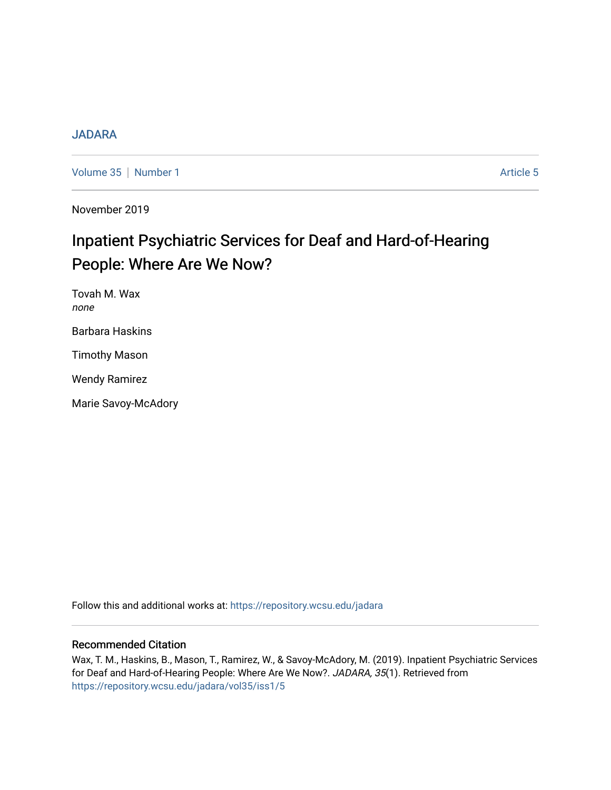# [JADARA](https://repository.wcsu.edu/jadara)

[Volume 35](https://repository.wcsu.edu/jadara/vol35) | [Number 1](https://repository.wcsu.edu/jadara/vol35/iss1) Article 5

November 2019

# Inpatient Psychiatric Services for Deaf and Hard-of-Hearing People: Where Are We Now?

Tovah M. Wax none Barbara Haskins Timothy Mason

Wendy Ramirez

Marie Savoy-McAdory

Follow this and additional works at: [https://repository.wcsu.edu/jadara](https://repository.wcsu.edu/jadara?utm_source=repository.wcsu.edu%2Fjadara%2Fvol35%2Fiss1%2F5&utm_medium=PDF&utm_campaign=PDFCoverPages)

## Recommended Citation

Wax, T. M., Haskins, B., Mason, T., Ramirez, W., & Savoy-McAdory, M. (2019). Inpatient Psychiatric Services for Deaf and Hard-of-Hearing People: Where Are We Now?. JADARA, 35(1). Retrieved from [https://repository.wcsu.edu/jadara/vol35/iss1/5](https://repository.wcsu.edu/jadara/vol35/iss1/5?utm_source=repository.wcsu.edu%2Fjadara%2Fvol35%2Fiss1%2F5&utm_medium=PDF&utm_campaign=PDFCoverPages)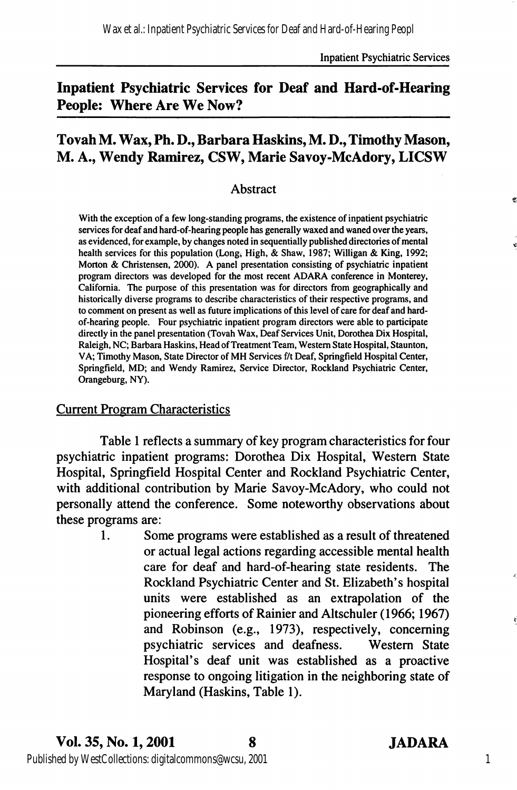# Inpatient Psychiatric Services for Deaf and Hard-of-Hearing People: Where Are We Now?

# Tovah M. Wax, Ph. D., Barbara Haskins, M. D., Timothy Mason, M. A., Wendy Ramirez, CSW, Marie Savoy-McAdory, LICSW

#### Abstract

With the exception of a few long-standing programs, the existence of inpatient psychiatric services for deaf and hard-of-hearing people has generally waxed and waned over the years, as evidenced, for example, by changes noted in sequentially published directories of mental health services for this population (Long, High, & Shaw, 1987; Willigan & King, 1992; Morton & Christensen, 2000). A panel presentation consisting of psychiatric inpatient program directors was developed for the most recent ADARA conference in Monterey, California. The purpose of this presentation was for directors from geographically and historically diverse programs to describe characteristics of their respective programs, and to comment on present as well as future implications of this level of care for deaf and hardof-hearing people. Four psychiatric inpatient program directors were able to participate directly in the panel presentation (Tovah Wax, Deaf Services Unit, Dorothea Dix Hospital, Raleigh, NC; Barbara Haskins, Head of Treatment Team, Western State Hospital, Staunton, VA; Timothy Mason, State Director of MH Services f/t Deaf, Springfield Hospital Center, Springfield, MD; and Wendy Ramirez, Service Director, Rockland Psychiatric Center, Orangeburg, NY).

#### Current Program Characteristics

Table 1 reflects a summary of key program characteristics for four psychiatric inpatient programs: Dorothea Dix Hospital, Western State Hospital, Springfield Hospital Center and Rockland Psychiatric Center, with additional contribution by Marie Savoy-McAdory, who could not personally attend the conference. Some noteworthy observations about these programs are:

> 1. Some programs were established as a result of threatened or actual legal actions regarding accessible mental health care for deaf and hard-of-hearing state residents. The Rockland Psychiatric Center and St. Elizabeth's hospital units were established as an extrapolation of the pioneering efforts of Rainier and Altschuler (1966; 1967) and Robinson (e.g., 1973), respectively, conceming psychiatric services and deafness. Western State Hospital's deaf unit was established as a proactive response to ongoing litigation in the neighboring state of Maryland (Haskins, Table 1).

1

ł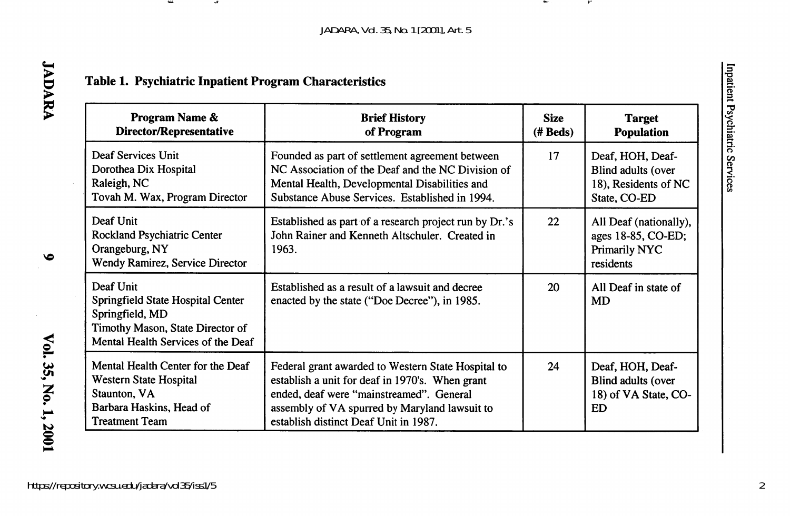*JADARA, Vol. 35, No. 1 [2001], Art. 5*

 $\overline{\phantom{a}}$ 

# Table 1. Psychiatric Inpatient Program Characteristics

انت

| Program Name &<br>Director/Representative                                                                                                   | <b>Brief History</b><br>of Program                                                                                                                                                                                                          |    | <b>Target</b><br><b>Population</b>                                             |  |
|---------------------------------------------------------------------------------------------------------------------------------------------|---------------------------------------------------------------------------------------------------------------------------------------------------------------------------------------------------------------------------------------------|----|--------------------------------------------------------------------------------|--|
| Deaf Services Unit<br>Dorothea Dix Hospital<br>Raleigh, NC<br>Tovah M. Wax, Program Director                                                | Founded as part of settlement agreement between<br>NC Association of the Deaf and the NC Division of<br>Mental Health, Developmental Disabilities and<br>Substance Abuse Services. Established in 1994.                                     | 17 | Deaf, HOH, Deaf-<br>Blind adults (over<br>18), Residents of NC<br>State, CO-ED |  |
| Deaf Unit<br>Rockland Psychiatric Center<br>Orangeburg, NY<br>Wendy Ramirez, Service Director                                               | Established as part of a research project run by Dr.'s<br>John Rainer and Kenneth Altschuler. Created in<br>1963.                                                                                                                           | 22 | All Deaf (nationally),<br>ages 18-85, CO-ED;<br>Primarily NYC<br>residents     |  |
| Deaf Unit<br>Springfield State Hospital Center<br>Springfield, MD<br>Timothy Mason, State Director of<br>Mental Health Services of the Deaf | Established as a result of a lawsuit and decree<br>enacted by the state ("Doe Decree"), in 1985.                                                                                                                                            | 20 | All Deaf in state of<br><b>MD</b>                                              |  |
| Mental Health Center for the Deaf<br>Western State Hospital<br>Staunton, VA<br>Barbara Haskins, Head of<br><b>Treatment Team</b>            | Federal grant awarded to Western State Hospital to<br>establish a unit for deaf in 1970's. When grant<br>ended, deaf were "mainstreamed". General<br>assembly of VA spurred by Maryland lawsuit to<br>establish distinct Deaf Unit in 1987. | 24 | Deaf, HOH, Deaf-<br>Blind adults (over<br>18) of VA State, CO-<br><b>ED</b>    |  |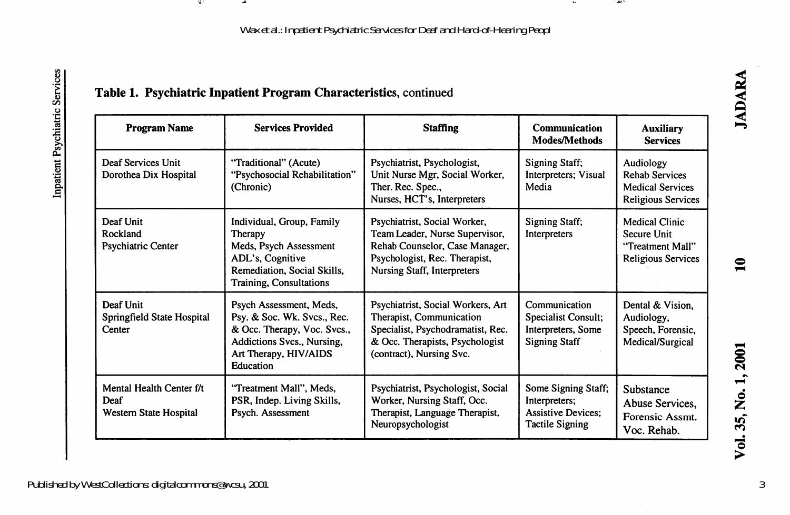Wax et al.: Inpatient Psychiatric Services for Deaf and Hard-of-Hearing Peopl

 $\mathbf{M}$ 

w.

# Table 1. Psychiatric Inpatient Program Characteristics, continued

-97

-4

| <b>Program Name</b>                                        | <b>Services Provided</b>                                                                                                                                  | <b>Staffing</b>                                                                                                                                                         | Communication<br>Modes/Methods                                                              | <b>Auxiliary</b><br><b>Services</b>                                                        |
|------------------------------------------------------------|-----------------------------------------------------------------------------------------------------------------------------------------------------------|-------------------------------------------------------------------------------------------------------------------------------------------------------------------------|---------------------------------------------------------------------------------------------|--------------------------------------------------------------------------------------------|
| Deaf Services Unit<br>Dorothea Dix Hospital                | "Traditional" (Acute)<br>"Psychosocial Rehabilitation"<br>(Chronic)                                                                                       | Psychiatrist, Psychologist,<br>Unit Nurse Mgr, Social Worker,<br>Ther. Rec. Spec.,<br>Nurses, HCT's, Interpreters                                                       | <b>Signing Staff;</b><br>Interpreters; Visual<br>Media                                      | Audiology<br><b>Rehab Services</b><br><b>Medical Services</b><br><b>Religious Services</b> |
| Deaf Unit<br>Rockland<br><b>Psychiatric Center</b>         | Individual, Group, Family<br>Therapy<br>Meds, Psych Assessment<br>ADL's, Cognitive<br>Remediation, Social Skills,<br>Training, Consultations              | Psychiatrist, Social Worker,<br>Team Leader, Nurse Supervisor,<br>Rehab Counselor, Case Manager,<br>Psychologist, Rec. Therapist,<br><b>Nursing Staff, Interpreters</b> | Signing Staff;<br>Interpreters                                                              | Medical Clinic<br>Secure Unit<br>"Treatment Mall"<br>Religious Services                    |
| Deaf Unit<br>Springfield State Hospital<br>Center          | Psych Assessment, Meds,<br>Psy. & Soc. Wk. Svcs., Rec.<br>& Occ. Therapy, Voc. Svcs.,<br>Addictions Svcs., Nursing,<br>Art Therapy, HIV/AIDS<br>Education | Psychiatrist, Social Workers, Art<br>Therapist, Communication<br>Specialist, Psychodramatist, Rec.<br>& Occ. Therapists, Psychologist<br>(contract), Nursing Svc.       | Communication<br>Specialist Consult;<br>Interpreters, Some<br><b>Signing Staff</b>          | Dental & Vision.<br>Audiology,<br>Speech, Forensic,<br>Medical/Surgical                    |
| Mental Health Center f/t<br>Deaf<br>Western State Hospital | "Treatment Mall", Meds,<br>PSR, Indep. Living Skills,<br>Psych. Assessment                                                                                | Psychiatrist, Psychologist, Social<br>Worker, Nursing Staff, Occ.<br>Therapist, Language Therapist,<br>Neuropsychologist                                                | Some Signing Staff;<br>Interpreters;<br><b>Assistive Devices:</b><br><b>Tactile Signing</b> | Substance<br>Abuse Services.<br>Forensic Assmt.<br>Voc. Rehab.                             |

Published by WestCollections: digitalcommons@wcsu, 2001

3

**JADARA** 

 $\mathbf{a}$ 

o Z u j ಕ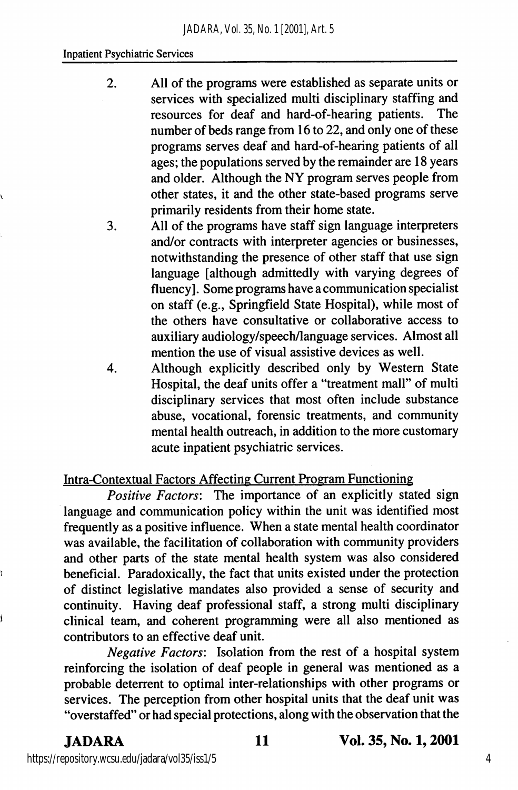#### Inpatient Psychiatric Services

- 2. All of the programs were established as separate units or services with specialized multi disciplinary staffing and resources for deaf and hard-of-hearing patients. The number of beds range from 16 to 22, and only one of these programs serves deaf and hard-of-hearing patients of all ages; the populations served by the remainder are 18 years and older. Although the NY program serves people from other states, it and the other state-based programs serve primarily residents from their home state.
- 3. All of the programs have staff sign language interpreters and/or contracts with interpreter agencies or businesses, notwithstanding the presence of other staff that use sign language [although admittedly with varying degrees of fluency]. Some programs have a communication specialist on staff (e.g., Springfield State Hospital), while most of the others have consultative or collaborative access to auxiliary audiology/speech/language services. Almost all mention the use of visual assistive devices as well.
- 4. Although explicitly described only by Western State Hospital, the deaf units offer a "treatment mall" of multi disciplinary services that most often include substance abuse, vocational, forensic treatments, and community mental health outreach, in addition to the more customary acute inpatient psychiatric services.

### Intra-Contextual Factors Affecting Current Program Functioning

Positive Factors: The importance of an explicitly stated sign language and communication policy within the unit was identified most frequently as a positive influence. When a state mental health coordinator was available, the facilitation of collaboration with community providers and other parts of the state mental health system was also considered beneficial. Paradoxically, the fact that units existed under the protection of distinct legislative mandates also provided a sense of security and continuity. Having deaf professional staff, a strong multi disciplinary clinical team, and coherent programming were all also mentioned as contributors to an effective deaf unit.

Negative Factors: Isolation from the rest of a hospital system reinforcing the isolation of deaf people in general was mentioned as a probable deterrent to optimal inter-relationships with other programs or services. The perception from other hospital units that the deaf unit was "overstaffed" or had special protections, along with the observation that the

#### JADARA 11 Vol. 35, No. 1,2001

https://repository.wcsu.edu/jadara/vol35/iss1/5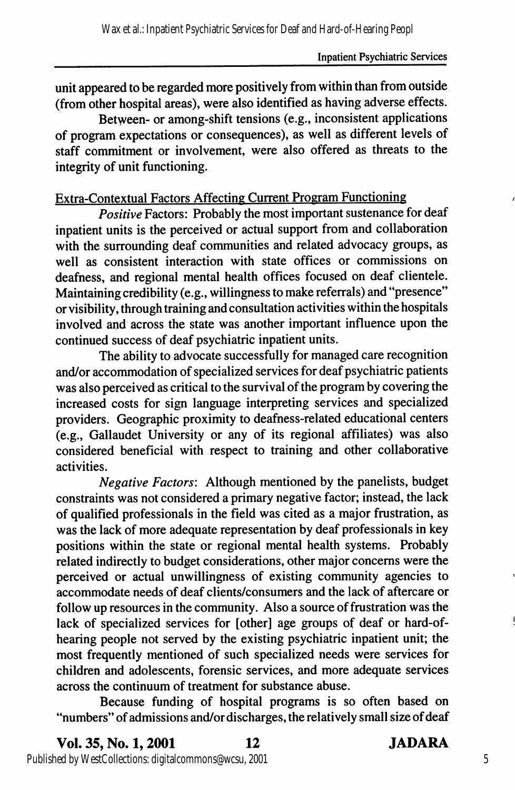unit appeared to be regarded more positively from within than from outside (from other hospital areas), were also identified as having adverse effects.

Between- or among-shift tensions (e.g., inconsistent applications of program expectations or consequences), as well as different levels of staff commitment or involvement, were also offered as threats to the integrity of unit functioning.

# Extra-Contextual Factors Affecting Current Program Functioning

**Positive Factors: Probably the most important sustenance for deaf** inpatient units is the perceived or actual support from and collaboration with the surrounding deaf communities and related advocacy groups, as well as consistent interaction with state offices or commissions on deafness, and regional mental health offices focused on deaf clientele. Maintaining credibility (e.g., willingness to make referrals) and "presence" or visibility, through training and consultation activities within the hospitals involved and across the state was another important influence upon the continued success of deaf psychiatric inpatient units.

The ability to advocate successfully for managed care recognition and/or accommodation of specialized services for deaf psychiatric patients was also perceived as critical to the survival of the program by covering the increased costs for sign language interpreting services and specialized providers. Geographic proximity to deafness-related educational centers (e.g., Gallaudet University or any of its regional affiliates) was also considered beneficial with respect to training and other collaborative activities.

Negative Factors: Although mentioned by the panelists, budget constraints was not considered a primary negative factor; instead, the lack of qualified professionals in the field was cited as a major frustration, as was the lack of more adequate representation by deaf professionals in key positions within the state or regional mental health systems. Probably related indirectly to budget considerations, other major concerns were the perceived or actual unwillingness of existing community agencies to accommodate needs of deaf clients/consumers and the lack of aftercare or follow up resources in the community. Also a source of frustration was the lack of specialized services for [other] age groups of deaf or hard-ofhearing people not served by the existing psychiatric inpatient unit; the most frequently mentioned of such specialized needs were services for children and adolescents, forensic services, and more adequate services across the continuum of treatment for substance abuse.

Because funding of hospital programs is so often based on "numbers" of admissions and/or discharges, the relatively small size of deaf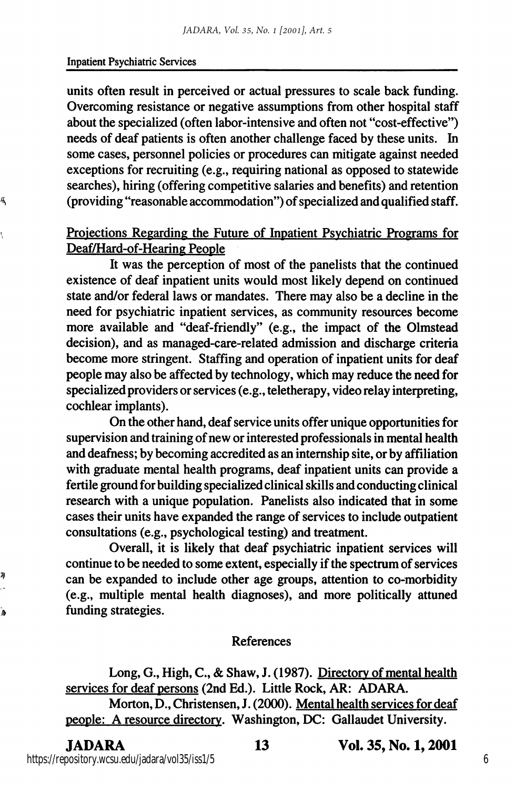#### Inpatient Psychiatric Services

ä,

ħ

ۮ

units often result in perceived or actual pressures to scale back funding. Overcoming resistance or negative assumptions from other hospital staff about the specialized (often labor-intensive and often not "cost-effective") needs of deaf patients is often another challenge faced by these units. In some cases, personnel policies or procedures can mitigate against needed exceptions for recruiting (e.g., requiring national as opposed to statewide searches), hiring (offering competitive salaries and benefits) and retention (providing "reasonable accommodation") of specialized and qualified staff.

### Projections Regarding the Future of Inpatient Psvchiatric Programs for Deaf/Hard-of-Hearing People

It was the perception of most of the panelists that the continued existence of deaf inpatient units would most likely depend on continued state and/or federal laws or mandates. There may also be a decline in the need for psychiatric inpatient services, as community resources become more available and "deaf-friendly" (e.g., the impact of the Olmstead decision), and as managed-care-related admission and discharge criteria become more stringent. Staffing and operation of inpatient units for deaf people may also be affected by technology, which may reduce the need for specialized providers or services (e.g., teletherapy, video relay interpreting, cochlear implants).

On the other hand, deaf service units offer unique opportunities for supervision and training of new or interested professionals in mental health and deafness; by becoming accredited as an internship site, or by affiliation with graduate mental health programs, deaf inpatient units can provide a fertile ground for building specialized clinical skills and conducting clinical research with a unique population. Panelists also indicated that in some cases their units have expanded the range of services to include outpatient consultations (e.g., psychological testing) and treatment.

Overall, it is likely that deaf psychiatric inpatient services will continue to be needed to some extent, especially if the spectrum of services can be expanded to include other age groups, attention to co-morbidity (e.g., multiple mental health diagnoses), and more politically attuned funding strategies.

#### References

Long, G., High, C., & Shaw, J. (1987). Directory of mental health services for deaf persons (2nd Ed.). Little Rock, AR: ADARA.

Morton, D., Christensen, J. (2000). Mental health services for deaf people: A resource directorv. Washington, DC: Gallaudet University.

#### JADARA 13 Vol. 35, No. 1,2001

https://repository.wcsu.edu/jadara/vol35/iss1/5